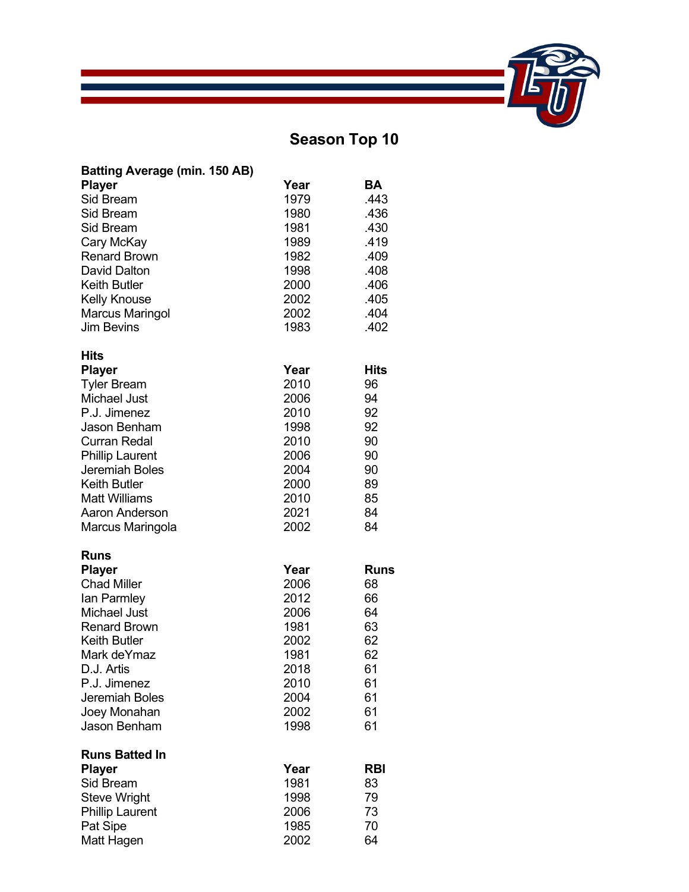## **Season Top 10**

| <b>Batting Average (min. 150 AB)</b> |      |            |
|--------------------------------------|------|------------|
| <b>Player</b>                        | Year | BA         |
| <b>Sid Bream</b>                     | 1979 | .443       |
| Sid Bream                            | 1980 | .436       |
| <b>Sid Bream</b>                     | 1981 | .430       |
| Cary McKay                           | 1989 | .419       |
| <b>Renard Brown</b>                  | 1982 | .409       |
| <b>David Dalton</b>                  | 1998 | .408       |
| <b>Keith Butler</b>                  | 2000 | .406       |
| <b>Kelly Knouse</b>                  | 2002 | .405       |
| <b>Marcus Maringol</b>               | 2002 | .404       |
| <b>Jim Bevins</b>                    | 1983 | .402       |
| Hits                                 |      |            |
| <b>Player</b>                        | Year | Hits       |
| <b>Tyler Bream</b>                   | 2010 | 96         |
| Michael Just                         | 2006 | 94         |
| P.J. Jimenez                         | 2010 | 92         |
| <b>Jason Benham</b>                  | 1998 | 92         |
| Curran Redal                         | 2010 | 90         |
| <b>Phillip Laurent</b>               | 2006 | 90         |
| Jeremiah Boles                       | 2004 | 90         |
| <b>Keith Butler</b>                  | 2000 | 89         |
| <b>Matt Williams</b>                 | 2010 | 85         |
| Aaron Anderson                       | 2021 | 84         |
| Marcus Maringola                     | 2002 | 84         |
| Runs                                 |      |            |
| <b>Player</b>                        | Year | Runs       |
| <b>Chad Miller</b>                   | 2006 | 68         |
| lan Parmley                          | 2012 | 66         |
| Michael Just                         | 2006 | 64         |
| <b>Renard Brown</b>                  | 1981 | 63         |
| <b>Keith Butler</b>                  | 2002 | 62         |
| Mark deYmaz                          | 1981 | 62         |
| D.J. Artis                           | 2018 | 61         |
| P.J. Jimenez                         | 2010 | 61         |
| Jeremiah Boles                       | 2004 | 61         |
| Joey Monahan                         | 2002 | 61         |
| <b>Jason Benham</b>                  | 1998 | 61         |
| <b>Runs Batted In</b>                |      |            |
| <b>Player</b>                        | Year | <b>RBI</b> |
| Sid Bream                            | 1981 | 83         |
| <b>Steve Wright</b>                  | 1998 | 79         |
| <b>Phillip Laurent</b>               | 2006 | 73         |
| Pat Sipe                             | 1985 | 70         |
| Matt Hagen                           | 2002 | 64         |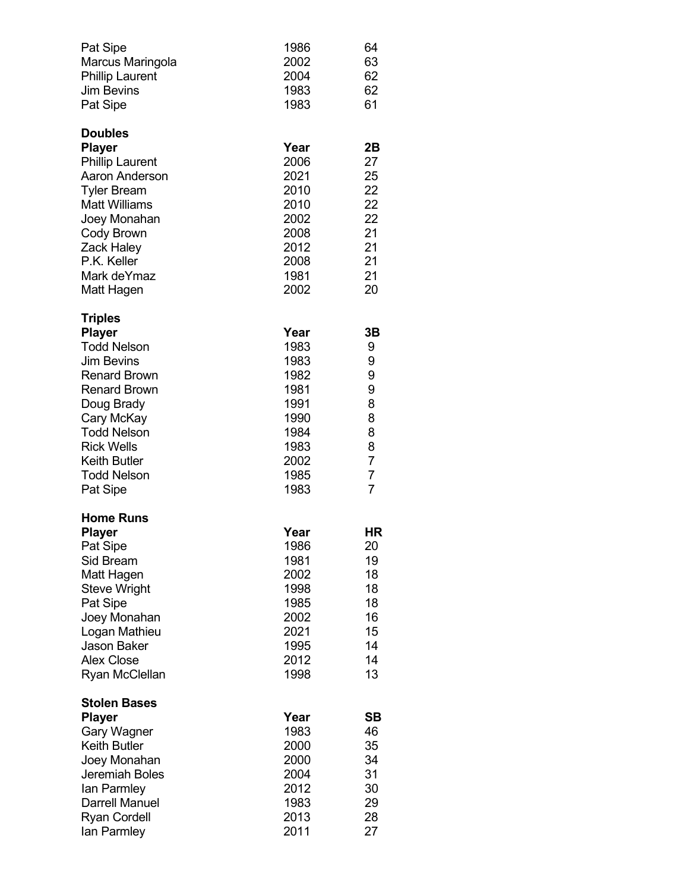| Pat Sipe<br>Marcus Maringola<br><b>Phillip Laurent</b><br><b>Jim Bevins</b><br>Pat Sipe                                                                                                                                                                  | 1986<br>2002<br>2004<br>1983<br>1983                                                         | 64<br>63<br>62<br>62<br>61                                                                       |
|----------------------------------------------------------------------------------------------------------------------------------------------------------------------------------------------------------------------------------------------------------|----------------------------------------------------------------------------------------------|--------------------------------------------------------------------------------------------------|
| <b>Doubles</b><br><b>Player</b><br><b>Phillip Laurent</b><br><b>Aaron Anderson</b><br><b>Tyler Bream</b><br><b>Matt Williams</b><br>Joey Monahan<br>Cody Brown<br>Zack Haley<br>P.K. Keller<br>Mark deYmaz<br>Matt Hagen                                 | Year<br>2006<br>2021<br>2010<br>2010<br>2002<br>2008<br>2012<br>2008<br>1981<br>2002         | 2B<br>27<br>25<br>22<br>22<br>22<br>21<br>21<br>21<br>21<br>20                                   |
| <b>Triples</b><br><b>Player</b><br><b>Todd Nelson</b><br><b>Jim Bevins</b><br><b>Renard Brown</b><br><b>Renard Brown</b><br>Doug Brady<br>Cary McKay<br><b>Todd Nelson</b><br><b>Rick Wells</b><br><b>Keith Butler</b><br><b>Todd Nelson</b><br>Pat Sipe | Year<br>1983<br>1983<br>1982<br>1981<br>1991<br>1990<br>1984<br>1983<br>2002<br>1985<br>1983 | 3B<br>9<br>9<br>9<br>9<br>8<br>8<br>8<br>8<br>$\overline{7}$<br>$\overline{7}$<br>$\overline{7}$ |
| <b>Home Runs</b><br><b>Player</b><br>Pat Sipe<br>Sid Bream<br>Matt Hagen<br><b>Steve Wright</b><br>Pat Sipe<br>Joey Monahan<br>Logan Mathieu<br>Jason Baker<br><b>Alex Close</b><br>Ryan McClellan                                                       | Year<br>1986<br>1981<br>2002<br>1998<br>1985<br>2002<br>2021<br>1995<br>2012<br>1998         | НR<br>20<br>19<br>18<br>18<br>18<br>16<br>15<br>14<br>14<br>13                                   |
| <b>Stolen Bases</b><br><b>Player</b><br><b>Gary Wagner</b><br><b>Keith Butler</b><br>Joey Monahan<br>Jeremiah Boles<br>lan Parmley<br>Darrell Manuel<br><b>Ryan Cordell</b><br>lan Parmley                                                               | Year<br>1983<br>2000<br>2000<br>2004<br>2012<br>1983<br>2013<br>2011                         | SB<br>46<br>35<br>34<br>31<br>30<br>29<br>28<br>27                                               |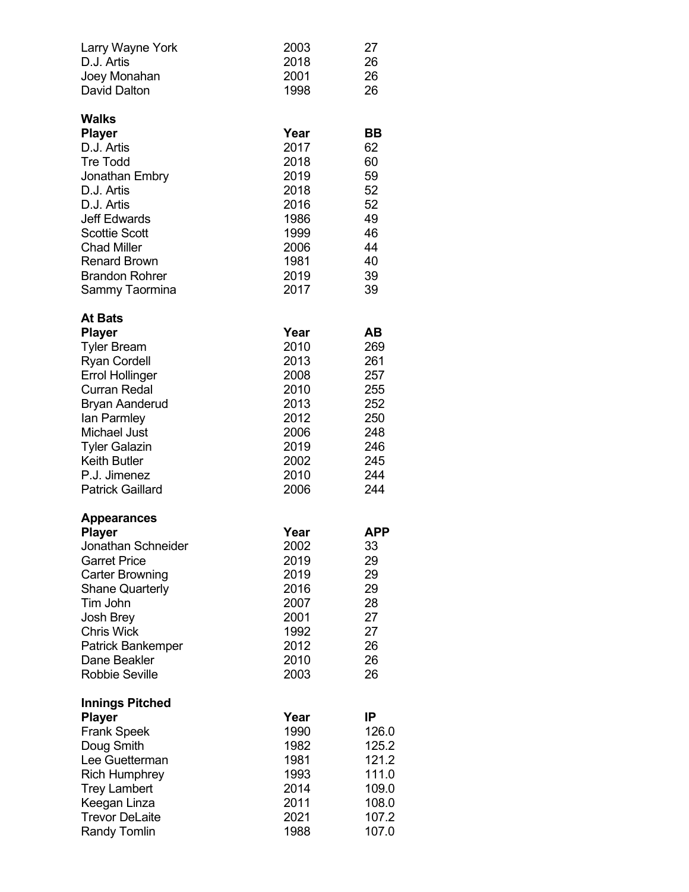| Larry Wayne York<br>D.J. Artis<br>Joey Monahan<br><b>David Dalton</b>                                                                                                                                                                                                                  | 2003<br>2018<br>2001<br>1998                                                                 | 27<br>26<br>26<br>26                                                            |
|----------------------------------------------------------------------------------------------------------------------------------------------------------------------------------------------------------------------------------------------------------------------------------------|----------------------------------------------------------------------------------------------|---------------------------------------------------------------------------------|
| <b>Walks</b><br><b>Player</b><br>D.J. Artis<br><b>Tre Todd</b><br>Jonathan Embry<br>D.J. Artis<br>D.J. Artis<br><b>Jeff Edwards</b><br><b>Scottie Scott</b><br><b>Chad Miller</b><br><b>Renard Brown</b><br><b>Brandon Rohrer</b><br>Sammy Taormina                                    | Year<br>2017<br>2018<br>2019<br>2018<br>2016<br>1986<br>1999<br>2006<br>1981<br>2019<br>2017 | BВ<br>62<br>60<br>59<br>52<br>52<br>49<br>46<br>44<br>40<br>39<br>39            |
| <b>At Bats</b><br><b>Player</b><br><b>Tyler Bream</b><br><b>Ryan Cordell</b><br><b>Errol Hollinger</b><br><b>Curran Redal</b><br><b>Bryan Aanderud</b><br>lan Parmley<br><b>Michael Just</b><br><b>Tyler Galazin</b><br><b>Keith Butler</b><br>P.J. Jimenez<br><b>Patrick Gaillard</b> | Year<br>2010<br>2013<br>2008<br>2010<br>2013<br>2012<br>2006<br>2019<br>2002<br>2010<br>2006 | AВ<br>269<br>261<br>257<br>255<br>252<br>250<br>248<br>246<br>245<br>244<br>244 |
| Appearances<br><b>Player</b><br>Jonathan Schneider<br><b>Garret Price</b><br><b>Carter Browning</b><br><b>Shane Quarterly</b><br>Tim John<br><b>Josh Brey</b><br><b>Chris Wick</b><br>Patrick Bankemper<br>Dane Beakler<br><b>Robbie Seville</b>                                       | Year<br>2002<br>2019<br>2019<br>2016<br>2007<br>2001<br>1992<br>2012<br>2010<br>2003         | APP<br>33<br>29<br>29<br>29<br>28<br>27<br>27<br>26<br>26<br>26                 |
| <b>Innings Pitched</b><br><b>Player</b><br><b>Frank Speek</b><br>Doug Smith<br>Lee Guetterman<br><b>Rich Humphrey</b><br><b>Trey Lambert</b><br>Keegan Linza<br><b>Trevor DeLaite</b><br><b>Randy Tomlin</b>                                                                           | Year<br>1990<br>1982<br>1981<br>1993<br>2014<br>2011<br>2021<br>1988                         | ΙP<br>126.0<br>125.2<br>121.2<br>111.0<br>109.0<br>108.0<br>107.2<br>107.0      |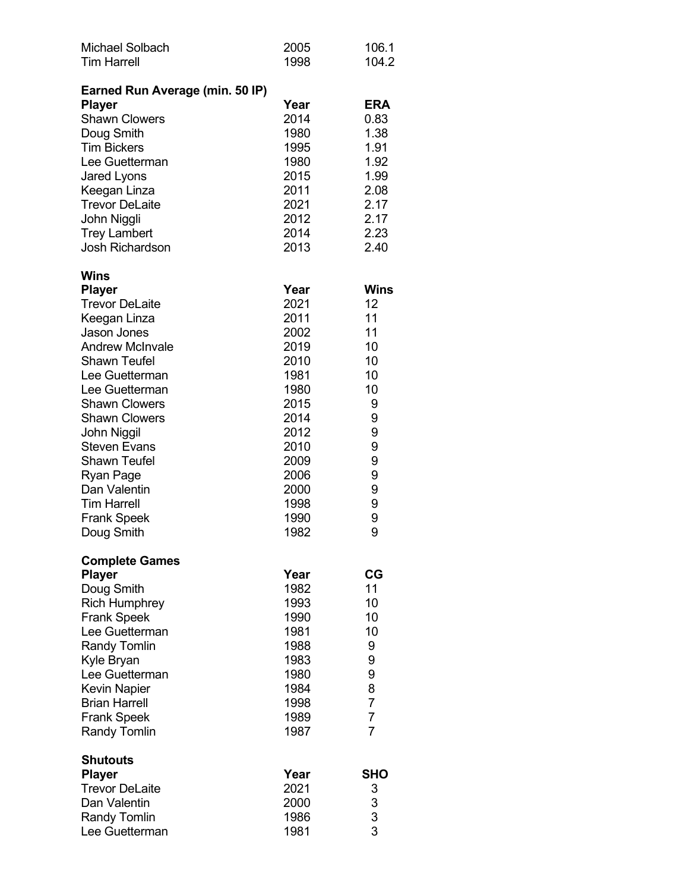| <b>Michael Solbach</b><br><b>Tim Harrell</b>  | 2005<br>1998 | 106.1<br>104.2                        |
|-----------------------------------------------|--------------|---------------------------------------|
| Earned Run Average (min. 50 IP)               |              |                                       |
| <b>Player</b>                                 | Year         | <b>ERA</b>                            |
| <b>Shawn Clowers</b>                          | 2014         | 0.83                                  |
| Doug Smith                                    | 1980         | 1.38                                  |
| <b>Tim Bickers</b>                            | 1995         | 1.91                                  |
| Lee Guetterman                                | 1980         | 1.92                                  |
| Jared Lyons                                   | 2015         | 1.99                                  |
| Keegan Linza                                  | 2011         | 2.08                                  |
| <b>Trevor DeLaite</b>                         | 2021         | 2.17                                  |
| John Niggli                                   | 2012         | 2.17                                  |
| <b>Trey Lambert</b><br><b>Josh Richardson</b> | 2014         | 2.23                                  |
|                                               | 2013         | 2.40                                  |
| Wins<br><b>Player</b>                         | Year         | <b>Wins</b>                           |
| <b>Trevor DeLaite</b>                         | 2021         | 12                                    |
| Keegan Linza                                  | 2011         | 11                                    |
| Jason Jones                                   | 2002         | 11                                    |
| <b>Andrew McInvale</b>                        | 2019         | 10                                    |
| <b>Shawn Teufel</b>                           | 2010         | 10                                    |
| Lee Guetterman                                | 1981         | 10                                    |
| Lee Guetterman                                | 1980         | 10                                    |
| <b>Shawn Clowers</b>                          | 2015         | 9                                     |
| <b>Shawn Clowers</b>                          | 2014         | 9                                     |
| John Niggil                                   | 2012         | 9                                     |
| <b>Steven Evans</b>                           | 2010         | 9                                     |
| <b>Shawn Teufel</b>                           | 2009         | 9                                     |
| Ryan Page                                     | 2006         | 9                                     |
| Dan Valentin<br><b>Tim Harrell</b>            | 2000         | 9                                     |
| <b>Frank Speek</b>                            | 1998<br>1990 | 9<br>9                                |
| Doug Smith                                    | 1982         | 9                                     |
|                                               |              |                                       |
| <b>Complete Games</b><br><b>Player</b>        | Year         | СG                                    |
| Doug Smith                                    | 1982         | 11                                    |
| <b>Rich Humphrey</b>                          | 1993         | 10                                    |
| <b>Frank Speek</b>                            | 1990         | 10                                    |
| Lee Guetterman                                | 1981         | 10                                    |
| <b>Randy Tomlin</b>                           | 1988         | 9                                     |
| Kyle Bryan                                    | 1983         | 9                                     |
| Lee Guetterman                                | 1980         | 9                                     |
| <b>Kevin Napier</b>                           | 1984         | 8                                     |
| <b>Brian Harrell</b>                          | 1998         | $\overline{7}$                        |
| <b>Frank Speek</b>                            | 1989         | $\overline{7}$                        |
| <b>Randy Tomlin</b>                           | 1987         | $\overline{7}$                        |
| <b>Shutouts</b>                               | Year         | SHO                                   |
| <b>Player</b><br><b>Trevor DeLaite</b>        | 2021         | 3                                     |
| Dan Valentin                                  | 2000         |                                       |
| <b>Randy Tomlin</b>                           | 1986         | $\begin{array}{c} 3 \\ 3 \end{array}$ |
| Lee Guetterman                                | 1981         |                                       |